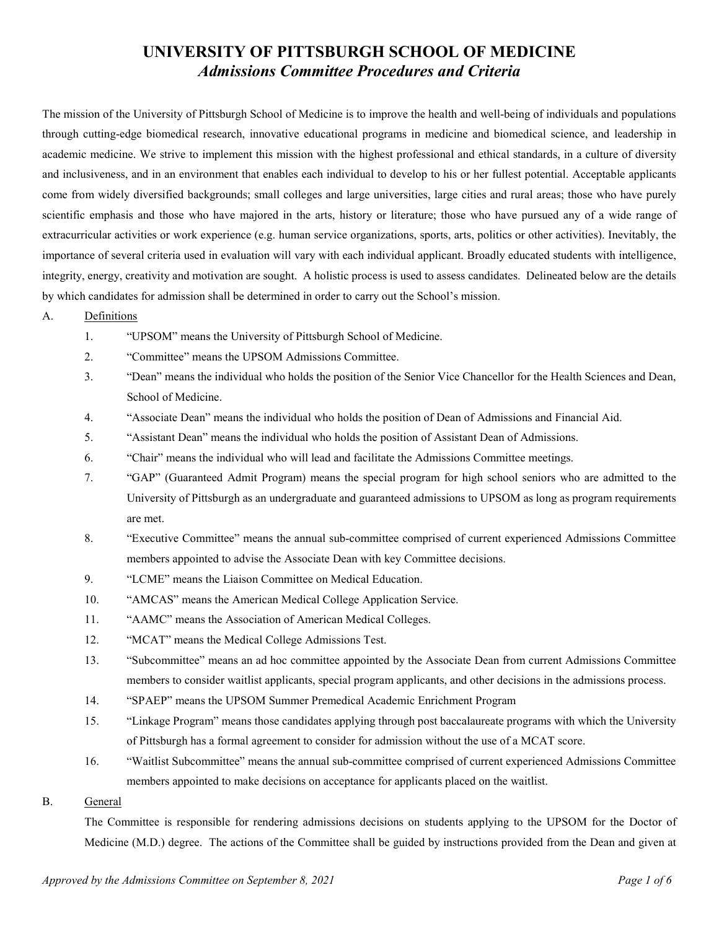# **UNIVERSITY OF PITTSBURGH SCHOOL OF MEDICINE** *Admissions Committee Procedures and Criteria*

The mission of the University of Pittsburgh School of Medicine is to improve the health and well-being of individuals and populations through cutting-edge biomedical research, innovative educational programs in medicine and biomedical science, and leadership in academic medicine. We strive to implement this mission with the highest professional and ethical standards, in a culture of diversity and inclusiveness, and in an environment that enables each individual to develop to his or her fullest potential. Acceptable applicants come from widely diversified backgrounds; small colleges and large universities, large cities and rural areas; those who have purely scientific emphasis and those who have majored in the arts, history or literature; those who have pursued any of a wide range of extracurricular activities or work experience (e.g. human service organizations, sports, arts, politics or other activities). Inevitably, the importance of several criteria used in evaluation will vary with each individual applicant. Broadly educated students with intelligence, integrity, energy, creativity and motivation are sought. A holistic process is used to assess candidates. Delineated below are the details by which candidates for admission shall be determined in order to carry out the School's mission.

- A. Definitions
	- 1. "UPSOM" means the University of Pittsburgh School of Medicine.
	- 2. "Committee" means the UPSOM Admissions Committee.
	- 3. "Dean" means the individual who holds the position of the Senior Vice Chancellor for the Health Sciences and Dean, School of Medicine.
	- 4. "Associate Dean" means the individual who holds the position of Dean of Admissions and Financial Aid.
	- 5. "Assistant Dean" means the individual who holds the position of Assistant Dean of Admissions.
	- 6. "Chair" means the individual who will lead and facilitate the Admissions Committee meetings.
	- 7. "GAP" (Guaranteed Admit Program) means the special program for high school seniors who are admitted to the University of Pittsburgh as an undergraduate and guaranteed admissions to UPSOM as long as program requirements are met.
	- 8. "Executive Committee" means the annual sub-committee comprised of current experienced Admissions Committee members appointed to advise the Associate Dean with key Committee decisions.
	- 9. "LCME" means the Liaison Committee on Medical Education.
	- 10. "AMCAS" means the American Medical College Application Service.
	- 11. "AAMC" means the Association of American Medical Colleges.
	- 12. "MCAT" means the Medical College Admissions Test.
	- 13. "Subcommittee" means an ad hoc committee appointed by the Associate Dean from current Admissions Committee members to consider waitlist applicants, special program applicants, and other decisions in the admissions process.
	- 14. "SPAEP" means the UPSOM Summer Premedical Academic Enrichment Program
	- 15. "Linkage Program" means those candidates applying through post baccalaureate programs with which the University of Pittsburgh has a formal agreement to consider for admission without the use of a MCAT score.
	- 16. "Waitlist Subcommittee" means the annual sub-committee comprised of current experienced Admissions Committee members appointed to make decisions on acceptance for applicants placed on the waitlist.
- B. General

The Committee is responsible for rendering admissions decisions on students applying to the UPSOM for the Doctor of Medicine (M.D.) degree. The actions of the Committee shall be guided by instructions provided from the Dean and given at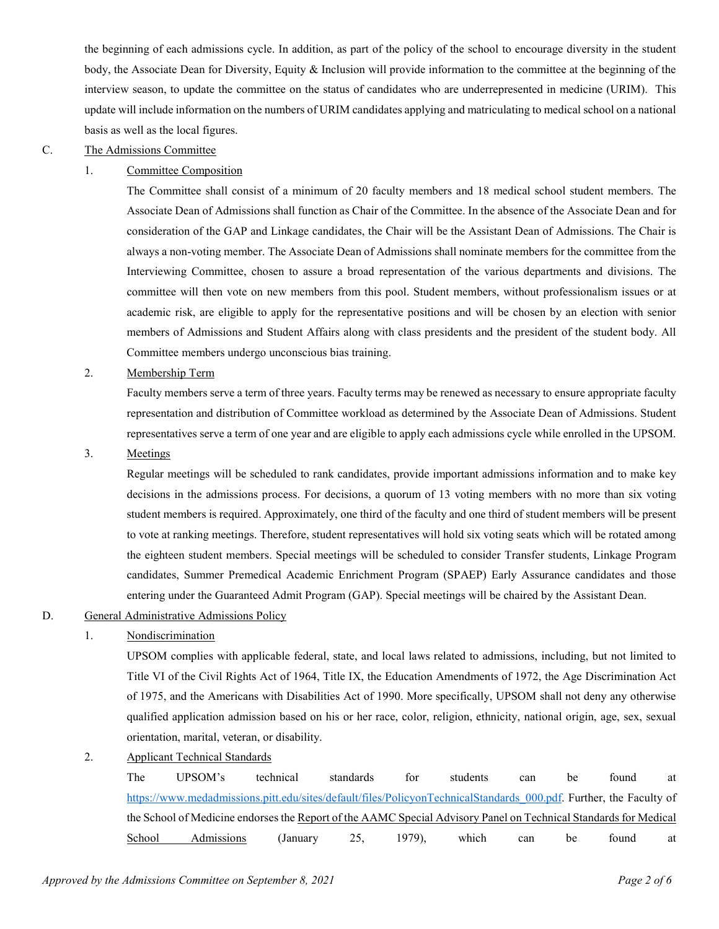the beginning of each admissions cycle. In addition, as part of the policy of the school to encourage diversity in the student body, the Associate Dean for Diversity, Equity & Inclusion will provide information to the committee at the beginning of the interview season, to update the committee on the status of candidates who are underrepresented in medicine (URIM). This update will include information on the numbers of URIM candidates applying and matriculating to medical school on a national basis as well as the local figures.

#### C. The Admissions Committee

# 1. Committee Composition

The Committee shall consist of a minimum of 20 faculty members and 18 medical school student members. The Associate Dean of Admissions shall function as Chair of the Committee. In the absence of the Associate Dean and for consideration of the GAP and Linkage candidates, the Chair will be the Assistant Dean of Admissions. The Chair is always a non-voting member. The Associate Dean of Admissions shall nominate members for the committee from the Interviewing Committee, chosen to assure a broad representation of the various departments and divisions. The committee will then vote on new members from this pool. Student members, without professionalism issues or at academic risk, are eligible to apply for the representative positions and will be chosen by an election with senior members of Admissions and Student Affairs along with class presidents and the president of the student body. All Committee members undergo unconscious bias training.

#### 2. Membership Term

Faculty members serve a term of three years. Faculty terms may be renewed as necessary to ensure appropriate faculty representation and distribution of Committee workload as determined by the Associate Dean of Admissions. Student representatives serve a term of one year and are eligible to apply each admissions cycle while enrolled in the UPSOM.

#### 3. Meetings

Regular meetings will be scheduled to rank candidates, provide important admissions information and to make key decisions in the admissions process. For decisions, a quorum of 13 voting members with no more than six voting student members is required. Approximately, one third of the faculty and one third of student members will be present to vote at ranking meetings. Therefore, student representatives will hold six voting seats which will be rotated among the eighteen student members. Special meetings will be scheduled to consider Transfer students, Linkage Program candidates, Summer Premedical Academic Enrichment Program (SPAEP) Early Assurance candidates and those entering under the Guaranteed Admit Program (GAP). Special meetings will be chaired by the Assistant Dean.

#### D. General Administrative Admissions Policy

# 1. Nondiscrimination

UPSOM complies with applicable federal, state, and local laws related to admissions, including, but not limited to Title VI of the Civil Rights Act of 1964, Title IX, the Education Amendments of 1972, the Age Discrimination Act of 1975, and the Americans with Disabilities Act of 1990. More specifically, UPSOM shall not deny any otherwise qualified application admission based on his or her race, color, religion, ethnicity, national origin, age, sex, sexual orientation, marital, veteran, or disability.

2. Applicant Technical Standards

The UPSOM's technical standards for students can be found at [https://www.medadmissions.pitt.edu/sites/default/files/PolicyonTechnicalStandards\\_000.pdf.](https://www.medadmissions.pitt.edu/sites/default/files/PolicyonTechnicalStandards_000.pdf) Further, the Faculty of the School of Medicine endorses the Report of the AAMC Special Advisory Panel on Technical Standards for Medical School Admissions (January 25, 1979), which can be found at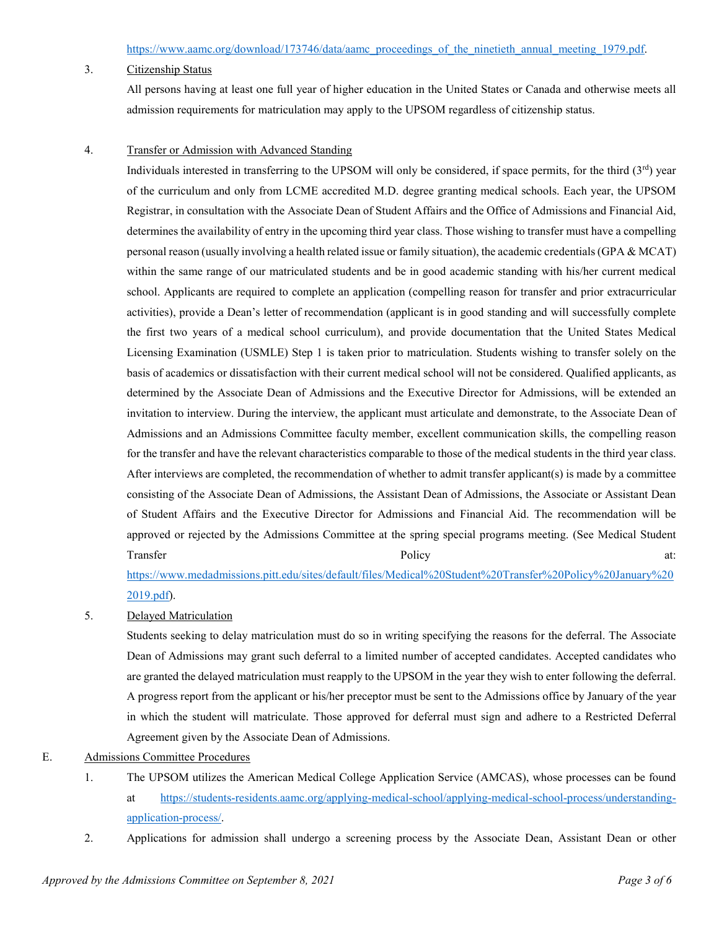## 3. Citizenship Status

All persons having at least one full year of higher education in the United States or Canada and otherwise meets all admission requirements for matriculation may apply to the UPSOM regardless of citizenship status.

## 4. Transfer or Admission with Advanced Standing

Individuals interested in transferring to the UPSOM will only be considered, if space permits, for the third  $(3<sup>rd</sup>)$  year of the curriculum and only from LCME accredited M.D. degree granting medical schools. Each year, the UPSOM Registrar, in consultation with the Associate Dean of Student Affairs and the Office of Admissions and Financial Aid, determines the availability of entry in the upcoming third year class. Those wishing to transfer must have a compelling personal reason (usually involving a health related issue or family situation), the academic credentials (GPA & MCAT) within the same range of our matriculated students and be in good academic standing with his/her current medical school. Applicants are required to complete an application (compelling reason for transfer and prior extracurricular activities), provide a Dean's letter of recommendation (applicant is in good standing and will successfully complete the first two years of a medical school curriculum), and provide documentation that the United States Medical Licensing Examination (USMLE) Step 1 is taken prior to matriculation. Students wishing to transfer solely on the basis of academics or dissatisfaction with their current medical school will not be considered. Qualified applicants, as determined by the Associate Dean of Admissions and the Executive Director for Admissions, will be extended an invitation to interview. During the interview, the applicant must articulate and demonstrate, to the Associate Dean of Admissions and an Admissions Committee faculty member, excellent communication skills, the compelling reason for the transfer and have the relevant characteristics comparable to those of the medical students in the third year class. After interviews are completed, the recommendation of whether to admit transfer applicant(s) is made by a committee consisting of the Associate Dean of Admissions, the Assistant Dean of Admissions, the Associate or Assistant Dean of Student Affairs and the Executive Director for Admissions and Financial Aid. The recommendation will be approved or rejected by the Admissions Committee at the spring special programs meeting. (See Medical Student Transfer and the policy and the Policy and the Policy and the policy and the policy at:

[https://www.medadmissions.pitt.edu/sites/default/files/Medical%20Student%20Transfer%20Policy%20January%20](https://www.medadmissions.pitt.edu/sites/default/files/Medical%20Student%20Transfer%20Policy%20January%202019.pdf) [2019.pdf\)](https://www.medadmissions.pitt.edu/sites/default/files/Medical%20Student%20Transfer%20Policy%20January%202019.pdf).

5. Delayed Matriculation

Students seeking to delay matriculation must do so in writing specifying the reasons for the deferral. The Associate Dean of Admissions may grant such deferral to a limited number of accepted candidates. Accepted candidates who are granted the delayed matriculation must reapply to the UPSOM in the year they wish to enter following the deferral. A progress report from the applicant or his/her preceptor must be sent to the Admissions office by January of the year in which the student will matriculate. Those approved for deferral must sign and adhere to a Restricted Deferral Agreement given by the Associate Dean of Admissions.

# E. Admissions Committee Procedures

- 1. The UPSOM utilizes the American Medical College Application Service (AMCAS), whose processes can be found at [https://students-residents.aamc.org/applying-medical-school/applying-medical-school-process/understanding](https://students-residents.aamc.org/applying-medical-school/applying-medical-school-process/understanding-application-process/)[application-process/.](https://students-residents.aamc.org/applying-medical-school/applying-medical-school-process/understanding-application-process/)
- 2. Applications for admission shall undergo a screening process by the Associate Dean, Assistant Dean or other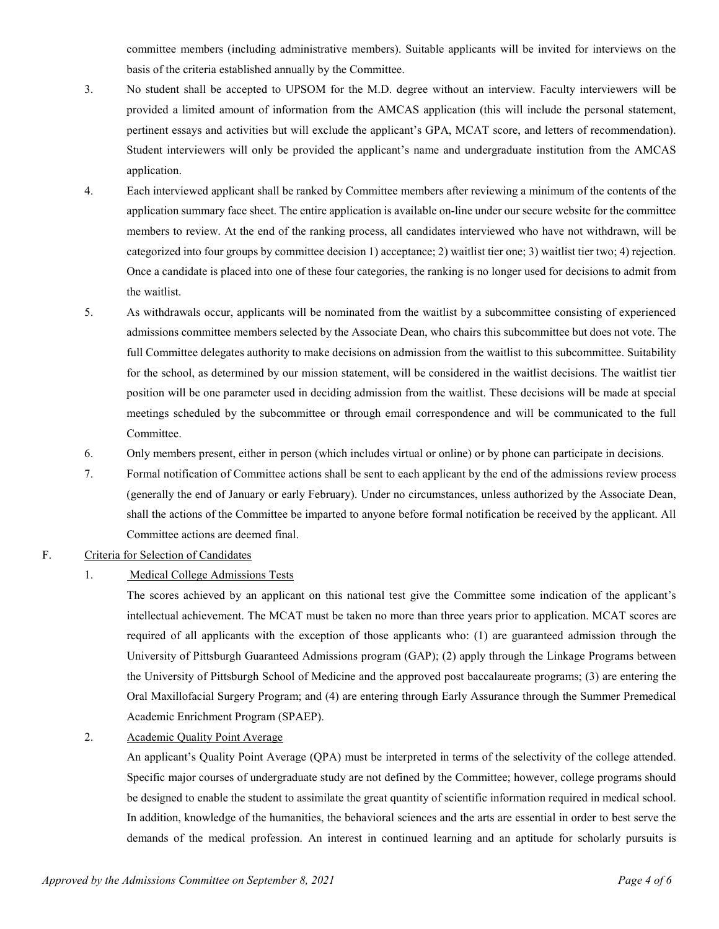committee members (including administrative members). Suitable applicants will be invited for interviews on the basis of the criteria established annually by the Committee.

- 3. No student shall be accepted to UPSOM for the M.D. degree without an interview. Faculty interviewers will be provided a limited amount of information from the AMCAS application (this will include the personal statement, pertinent essays and activities but will exclude the applicant's GPA, MCAT score, and letters of recommendation). Student interviewers will only be provided the applicant's name and undergraduate institution from the AMCAS application.
- 4. Each interviewed applicant shall be ranked by Committee members after reviewing a minimum of the contents of the application summary face sheet. The entire application is available on-line under our secure website for the committee members to review. At the end of the ranking process, all candidates interviewed who have not withdrawn, will be categorized into four groups by committee decision 1) acceptance; 2) waitlist tier one; 3) waitlist tier two; 4) rejection. Once a candidate is placed into one of these four categories, the ranking is no longer used for decisions to admit from the waitlist.
- 5. As withdrawals occur, applicants will be nominated from the waitlist by a subcommittee consisting of experienced admissions committee members selected by the Associate Dean, who chairs this subcommittee but does not vote. The full Committee delegates authority to make decisions on admission from the waitlist to this subcommittee. Suitability for the school, as determined by our mission statement, will be considered in the waitlist decisions. The waitlist tier position will be one parameter used in deciding admission from the waitlist. These decisions will be made at special meetings scheduled by the subcommittee or through email correspondence and will be communicated to the full Committee.
- 6. Only members present, either in person (which includes virtual or online) or by phone can participate in decisions.
- 7. Formal notification of Committee actions shall be sent to each applicant by the end of the admissions review process (generally the end of January or early February). Under no circumstances, unless authorized by the Associate Dean, shall the actions of the Committee be imparted to anyone before formal notification be received by the applicant. All Committee actions are deemed final.

# F. Criteria for Selection of Candidates

#### 1. Medical College Admissions Tests

The scores achieved by an applicant on this national test give the Committee some indication of the applicant's intellectual achievement. The MCAT must be taken no more than three years prior to application. MCAT scores are required of all applicants with the exception of those applicants who: (1) are guaranteed admission through the University of Pittsburgh Guaranteed Admissions program (GAP); (2) apply through the Linkage Programs between the University of Pittsburgh School of Medicine and the approved post baccalaureate programs; (3) are entering the Oral Maxillofacial Surgery Program; and (4) are entering through Early Assurance through the Summer Premedical Academic Enrichment Program (SPAEP).

2. Academic Quality Point Average

An applicant's Quality Point Average (QPA) must be interpreted in terms of the selectivity of the college attended. Specific major courses of undergraduate study are not defined by the Committee; however, college programs should be designed to enable the student to assimilate the great quantity of scientific information required in medical school. In addition, knowledge of the humanities, the behavioral sciences and the arts are essential in order to best serve the demands of the medical profession. An interest in continued learning and an aptitude for scholarly pursuits is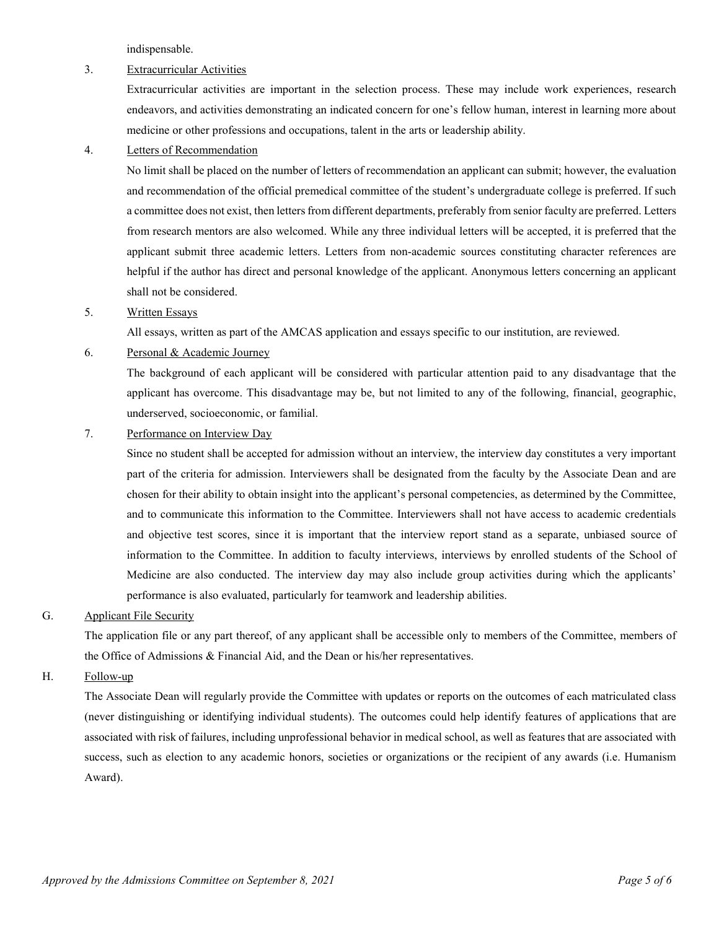indispensable.

#### 3. Extracurricular Activities

Extracurricular activities are important in the selection process. These may include work experiences, research endeavors, and activities demonstrating an indicated concern for one's fellow human, interest in learning more about medicine or other professions and occupations, talent in the arts or leadership ability.

## 4. Letters of Recommendation

No limit shall be placed on the number of letters of recommendation an applicant can submit; however, the evaluation and recommendation of the official premedical committee of the student's undergraduate college is preferred. If such a committee does not exist, then letters from different departments, preferably from senior faculty are preferred. Letters from research mentors are also welcomed. While any three individual letters will be accepted, it is preferred that the applicant submit three academic letters. Letters from non-academic sources constituting character references are helpful if the author has direct and personal knowledge of the applicant. Anonymous letters concerning an applicant shall not be considered.

#### 5. Written Essays

All essays, written as part of the AMCAS application and essays specific to our institution, are reviewed.

#### 6. Personal & Academic Journey

The background of each applicant will be considered with particular attention paid to any disadvantage that the applicant has overcome. This disadvantage may be, but not limited to any of the following, financial, geographic, underserved, socioeconomic, or familial.

# 7. Performance on Interview Day

Since no student shall be accepted for admission without an interview, the interview day constitutes a very important part of the criteria for admission. Interviewers shall be designated from the faculty by the Associate Dean and are chosen for their ability to obtain insight into the applicant's personal competencies, as determined by the Committee, and to communicate this information to the Committee. Interviewers shall not have access to academic credentials and objective test scores, since it is important that the interview report stand as a separate, unbiased source of information to the Committee. In addition to faculty interviews, interviews by enrolled students of the School of Medicine are also conducted. The interview day may also include group activities during which the applicants' performance is also evaluated, particularly for teamwork and leadership abilities.

#### G. Applicant File Security

The application file or any part thereof, of any applicant shall be accessible only to members of the Committee, members of the Office of Admissions & Financial Aid, and the Dean or his/her representatives.

# H. Follow-up

The Associate Dean will regularly provide the Committee with updates or reports on the outcomes of each matriculated class (never distinguishing or identifying individual students). The outcomes could help identify features of applications that are associated with risk of failures, including unprofessional behavior in medical school, as well as features that are associated with success, such as election to any academic honors, societies or organizations or the recipient of any awards (i.e. Humanism Award).